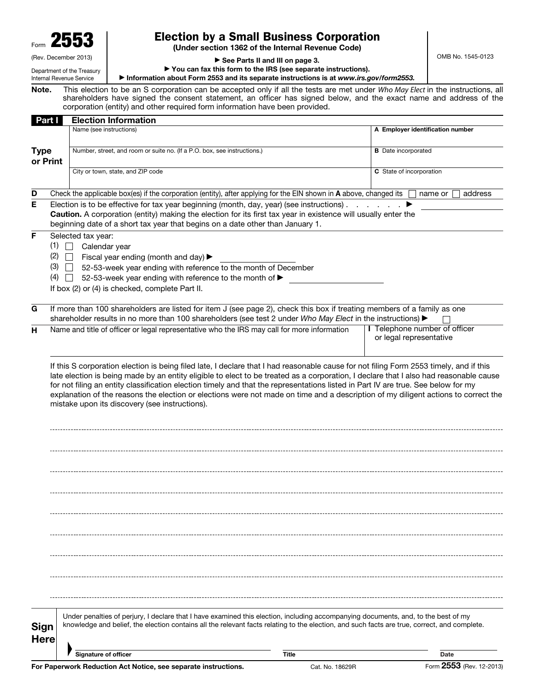Form 2553

# Election by a Small Business Corporation

(Under section 1362 of the Internal Revenue Code)

OMB No. 1545-0123

(Rev. December 2013) Department of the Treasury Internal Revenue Service

▶ See Parts II and III on page 3.

▶ You can fax this form to the IRS (see separate instructions).

▶ Information about Form 2553 and its separate instructions is at *www.irs.gov/form2553.* 

Note. This election to be an S corporation can be accepted only if all the tests are met under *Who May Elect* in the instructions, all shareholders have signed the consent statement, an officer has signed below, and the exact name and address of the corporation (entity) and other required form information have been provided.

| Part I                  |                                                                                                                                                                                                                                                                                               | <b>Election Information</b>                                                                                                                                                                                                                                                        |                                                          |                                  |  |  |  |  |
|-------------------------|-----------------------------------------------------------------------------------------------------------------------------------------------------------------------------------------------------------------------------------------------------------------------------------------------|------------------------------------------------------------------------------------------------------------------------------------------------------------------------------------------------------------------------------------------------------------------------------------|----------------------------------------------------------|----------------------------------|--|--|--|--|
|                         |                                                                                                                                                                                                                                                                                               | Name (see instructions)                                                                                                                                                                                                                                                            |                                                          | A Employer identification number |  |  |  |  |
| <b>Type</b><br>or Print |                                                                                                                                                                                                                                                                                               | Number, street, and room or suite no. (If a P.O. box, see instructions.)                                                                                                                                                                                                           | <b>B</b> Date incorporated                               |                                  |  |  |  |  |
|                         |                                                                                                                                                                                                                                                                                               | City or town, state, and ZIP code                                                                                                                                                                                                                                                  | C State of incorporation                                 |                                  |  |  |  |  |
| D                       |                                                                                                                                                                                                                                                                                               | Check the applicable box(es) if the corporation (entity), after applying for the EIN shown in A above, changed its                                                                                                                                                                 |                                                          | address<br>name or               |  |  |  |  |
| Е                       | Election is to be effective for tax year beginning (month, day, year) (see instructions).<br>Caution. A corporation (entity) making the election for its first tax year in existence will usually enter the<br>beginning date of a short tax year that begins on a date other than January 1. |                                                                                                                                                                                                                                                                                    |                                                          |                                  |  |  |  |  |
| F                       | (1)<br>(2)<br>(3)<br>(4)                                                                                                                                                                                                                                                                      | Selected tax year:<br>Calendar year<br>Fiscal year ending (month and day) $\blacktriangleright$<br>52-53-week year ending with reference to the month of December<br>52-53-week year ending with reference to the month of ><br>If box (2) or (4) is checked, complete Part II.    |                                                          |                                  |  |  |  |  |
| G                       |                                                                                                                                                                                                                                                                                               | If more than 100 shareholders are listed for item J (see page 2), check this box if treating members of a family as one<br>shareholder results in no more than 100 shareholders (see test 2 under Who May Elect in the instructions) ▶                                             |                                                          |                                  |  |  |  |  |
| н                       |                                                                                                                                                                                                                                                                                               | Name and title of officer or legal representative who the IRS may call for more information                                                                                                                                                                                        | I Telephone number of officer<br>or legal representative |                                  |  |  |  |  |
|                         |                                                                                                                                                                                                                                                                                               | mistake upon its discovery (see instructions).                                                                                                                                                                                                                                     |                                                          |                                  |  |  |  |  |
|                         |                                                                                                                                                                                                                                                                                               |                                                                                                                                                                                                                                                                                    |                                                          |                                  |  |  |  |  |
|                         |                                                                                                                                                                                                                                                                                               |                                                                                                                                                                                                                                                                                    |                                                          |                                  |  |  |  |  |
| Sign<br><b>Here</b>     |                                                                                                                                                                                                                                                                                               | Under penalties of perjury, I declare that I have examined this election, including accompanying documents, and, to the best of my<br>knowledge and belief, the election contains all the relevant facts relating to the election, and such facts are true, correct, and complete. |                                                          |                                  |  |  |  |  |
|                         |                                                                                                                                                                                                                                                                                               | <b>Signature of officer</b><br><b>Title</b>                                                                                                                                                                                                                                        |                                                          | Date                             |  |  |  |  |
|                         |                                                                                                                                                                                                                                                                                               |                                                                                                                                                                                                                                                                                    |                                                          |                                  |  |  |  |  |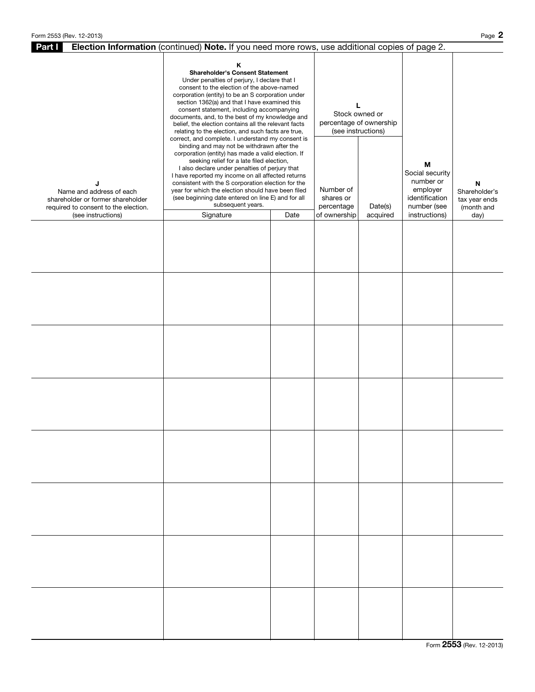| Election Information (continued) Note. If you need more rows, use additional copies of page 2.<br>Part I   |                                                                                                                                                                                                                                                                                                                                                                                                                                                                                                                                                                                                                                                                                                                                                                                                                                                                                                                                                                                        |  |                                                                                                |  |                                                                                |                                                   |  |  |
|------------------------------------------------------------------------------------------------------------|----------------------------------------------------------------------------------------------------------------------------------------------------------------------------------------------------------------------------------------------------------------------------------------------------------------------------------------------------------------------------------------------------------------------------------------------------------------------------------------------------------------------------------------------------------------------------------------------------------------------------------------------------------------------------------------------------------------------------------------------------------------------------------------------------------------------------------------------------------------------------------------------------------------------------------------------------------------------------------------|--|------------------------------------------------------------------------------------------------|--|--------------------------------------------------------------------------------|---------------------------------------------------|--|--|
| J<br>Name and address of each<br>shareholder or former shareholder<br>required to consent to the election. | Κ<br><b>Shareholder's Consent Statement</b><br>Under penalties of perjury, I declare that I<br>consent to the election of the above-named<br>corporation (entity) to be an S corporation under<br>section 1362(a) and that I have examined this<br>consent statement, including accompanying<br>documents, and, to the best of my knowledge and<br>belief, the election contains all the relevant facts<br>relating to the election, and such facts are true,<br>correct, and complete. I understand my consent is<br>binding and may not be withdrawn after the<br>corporation (entity) has made a valid election. If<br>seeking relief for a late filed election,<br>I also declare under penalties of perjury that<br>I have reported my income on all affected returns<br>consistent with the S corporation election for the<br>year for which the election should have been filed<br>(see beginning date entered on line E) and for all<br>subsequent years.<br>Signature<br>Date |  | L<br>Stock owned or<br>percentage of ownership<br>(see instructions)<br>Number of<br>shares or |  | М<br>Social security<br>number or<br>employer<br>identification<br>number (see | N<br>Shareholder's<br>tax year ends<br>(month and |  |  |
| (see instructions)                                                                                         |                                                                                                                                                                                                                                                                                                                                                                                                                                                                                                                                                                                                                                                                                                                                                                                                                                                                                                                                                                                        |  | percentage<br>Date(s)<br>of ownership<br>acquired                                              |  | instructions)                                                                  | day)                                              |  |  |
|                                                                                                            |                                                                                                                                                                                                                                                                                                                                                                                                                                                                                                                                                                                                                                                                                                                                                                                                                                                                                                                                                                                        |  |                                                                                                |  |                                                                                |                                                   |  |  |
|                                                                                                            |                                                                                                                                                                                                                                                                                                                                                                                                                                                                                                                                                                                                                                                                                                                                                                                                                                                                                                                                                                                        |  |                                                                                                |  |                                                                                |                                                   |  |  |
|                                                                                                            |                                                                                                                                                                                                                                                                                                                                                                                                                                                                                                                                                                                                                                                                                                                                                                                                                                                                                                                                                                                        |  |                                                                                                |  |                                                                                |                                                   |  |  |
|                                                                                                            |                                                                                                                                                                                                                                                                                                                                                                                                                                                                                                                                                                                                                                                                                                                                                                                                                                                                                                                                                                                        |  |                                                                                                |  |                                                                                |                                                   |  |  |
|                                                                                                            |                                                                                                                                                                                                                                                                                                                                                                                                                                                                                                                                                                                                                                                                                                                                                                                                                                                                                                                                                                                        |  |                                                                                                |  |                                                                                |                                                   |  |  |
|                                                                                                            |                                                                                                                                                                                                                                                                                                                                                                                                                                                                                                                                                                                                                                                                                                                                                                                                                                                                                                                                                                                        |  |                                                                                                |  |                                                                                |                                                   |  |  |
|                                                                                                            |                                                                                                                                                                                                                                                                                                                                                                                                                                                                                                                                                                                                                                                                                                                                                                                                                                                                                                                                                                                        |  |                                                                                                |  |                                                                                |                                                   |  |  |
|                                                                                                            |                                                                                                                                                                                                                                                                                                                                                                                                                                                                                                                                                                                                                                                                                                                                                                                                                                                                                                                                                                                        |  |                                                                                                |  |                                                                                |                                                   |  |  |

Form 2553 (Rev. 12-2013)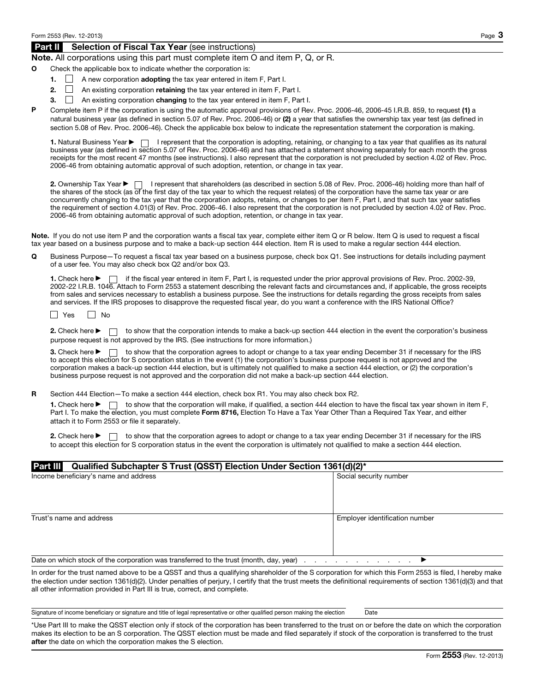## Part II Selection of Fiscal Tax Year (see instructions)

### Note. All corporations using this part must complete item O and item P, Q, or R.

- Check the applicable box to indicate whether the corporation is:
	- **1.**  $\Box$  A new corporation **adopting** the tax year entered in item F, Part I.
	- 2.  $\Box$  An existing corporation retaining the tax year entered in item F, Part I.
	- 3.  $\Box$  An existing corporation changing to the tax year entered in item F, Part I.
- P Complete item P if the corporation is using the automatic approval provisions of Rev. Proc. 2006-46, 2006-45 I.R.B. 859, to request (1) a natural business year (as defined in section 5.07 of Rev. Proc. 2006-46) or (2) a year that satisfies the ownership tax year test (as defined in section 5.08 of Rev. Proc. 2006-46). Check the applicable box below to indicate the representation statement the corporation is making.

1. Natural Business Year  $\blacktriangleright \Box$  I represent that the corporation is adopting, retaining, or changing to a tax year that qualifies as its natural business year (as defined in section 5.07 of Rev. Proc. 2006-46) and has attached a statement showing separately for each month the gross receipts for the most recent 47 months (see instructions). I also represent that the corporation is not precluded by section 4.02 of Rev. Proc. 2006-46 from obtaining automatic approval of such adoption, retention, or change in tax year.

2. Ownership Tax Year ▶ | I represent that shareholders (as described in section 5.08 of Rev. Proc. 2006-46) holding more than half of the shares of the stock (as of the first day of the tax year to which the request relates) of the corporation have the same tax year or are concurrently changing to the tax year that the corporation adopts, retains, or changes to per item F, Part I, and that such tax year satisfies the requirement of section 4.01(3) of Rev. Proc. 2006-46. I also represent that the corporation is not precluded by section 4.02 of Rev. Proc. 2006-46 from obtaining automatic approval of such adoption, retention, or change in tax year.

Note. If you do not use item P and the corporation wants a fiscal tax year, complete either item Q or R below. Item Q is used to request a fiscal tax year based on a business purpose and to make a back-up section 444 election. Item R is used to make a regular section 444 election.

Q Business Purpose—To request a fiscal tax year based on a business purpose, check box Q1. See instructions for details including payment of a user fee. You may also check box Q2 and/or box Q3.

1. Check here ▶ if the fiscal year entered in item F, Part I, is requested under the prior approval provisions of Rev. Proc. 2002-39, 2002-22 I.R.B. 1046. Attach to Form 2553 a statement describing the relevant facts and circumstances and, if applicable, the gross receipts from sales and services necessary to establish a business purpose. See the instructions for details regarding the gross receipts from sales and services. If the IRS proposes to disapprove the requested fiscal year, do you want a conference with the IRS National Office?

 $\Box$  Yes  $\Box$  No

2. Check here  $\triangleright \ \ \ \ \ \ \ \ \ \ \$  to show that the corporation intends to make a back-up section 444 election in the event the corporation's business purpose request is not approved by the IRS. (See instructions for more information.)

3. Check here  $\triangleright \ \square$  to show that the corporation agrees to adopt or change to a tax year ending December 31 if necessary for the IRS to accept this election for S corporation status in the event (1) the corporation's business purpose request is not approved and the corporation makes a back-up section 444 election, but is ultimately not qualified to make a section 444 election, or (2) the corporation's business purpose request is not approved and the corporation did not make a back-up section 444 election.

R Section 444 Election–To make a section 444 election, check box R1. You may also check box R2.

1. Check here  $\blacktriangleright$   $\Box$  to show that the corporation will make, if qualified, a section 444 election to have the fiscal tax year shown in item F, Part I. To make the election, you must complete Form 8716, Election To Have a Tax Year Other Than a Required Tax Year, and either attach it to Form 2553 or file it separately.

2. Check here ▶ □ to show that the corporation agrees to adopt or change to a tax year ending December 31 if necessary for the IRS to accept this election for S corporation status in the event the corporation is ultimately not qualified to make a section 444 election.

#### Part III Qualified Subchapter S Trust (QSST) Election Under Section 1361(d)(2)\*

|                                                                                         | , , , ,                                               |
|-----------------------------------------------------------------------------------------|-------------------------------------------------------|
| Income beneficiary's name and address                                                   | Social security number                                |
|                                                                                         |                                                       |
|                                                                                         |                                                       |
| Trust's name and address                                                                | Employer identification number                        |
|                                                                                         |                                                       |
|                                                                                         |                                                       |
| Date on which stock of the corporation was transferred to the trust (month, day, year). | the control of the control of the control of the con- |

In order for the trust named above to be a QSST and thus a qualifying shareholder of the S corporation for which this Form 2553 is filed, I hereby make the election under section 1361(d)(2). Under penalties of perjury, I certify that the trust meets the definitional requirements of section 1361(d)(3) and that all other information provided in Part III is true, correct, and complete.

Signature of income beneficiary or signature and title of legal representative or other qualified person making the election Date

\*Use Part III to make the QSST election only if stock of the corporation has been transferred to the trust on or before the date on which the corporation makes its election to be an S corporation. The QSST election must be made and filed separately if stock of the corporation is transferred to the trust after the date on which the corporation makes the S election.